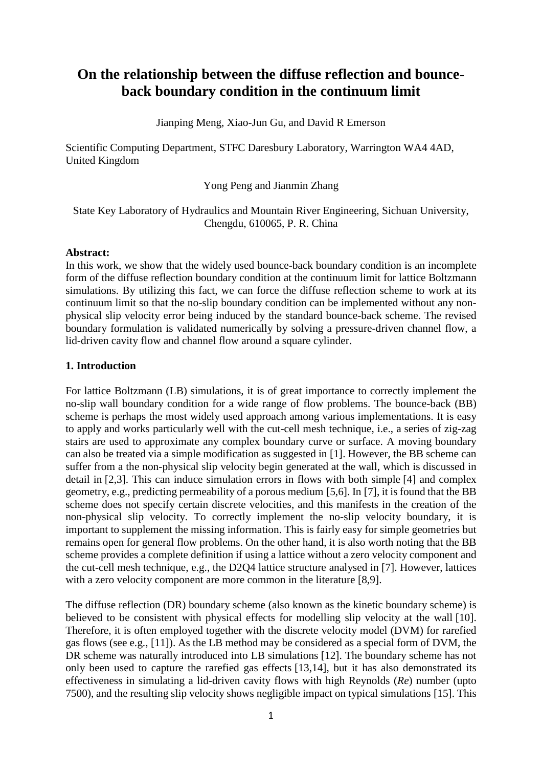# **On the relationship between the diffuse reflection and bounceback boundary condition in the continuum limit**

Jianping Meng, Xiao-Jun Gu, and David R Emerson

Scientific Computing Department, STFC Daresbury Laboratory, Warrington WA4 4AD, United Kingdom

Yong Peng and Jianmin Zhang

## State Key Laboratory of Hydraulics and Mountain River Engineering, Sichuan University, Chengdu, 610065, P. R. China

## **Abstract:**

In this work, we show that the widely used bounce-back boundary condition is an incomplete form of the diffuse reflection boundary condition at the continuum limit for lattice Boltzmann simulations. By utilizing this fact, we can force the diffuse reflection scheme to work at its continuum limit so that the no-slip boundary condition can be implemented without any nonphysical slip velocity error being induced by the standard bounce-back scheme. The revised boundary formulation is validated numerically by solving a pressure-driven channel flow, a lid-driven cavity flow and channel flow around a square cylinder.

## **1. Introduction**

For lattice Boltzmann (LB) simulations, it is of great importance to correctly implement the no-slip wall boundary condition for a wide range of flow problems. The bounce-back (BB) scheme is perhaps the most widely used approach among various implementations. It is easy to apply and works particularly well with the cut-cell mesh technique, i.e., a series of zig-zag stairs are used to approximate any complex boundary curve or surface. A moving boundary can also be treated via a simple modification as suggested in [1]. However, the BB scheme can suffer from a the non-physical slip velocity begin generated at the wall, which is discussed in detail in [2,3]. This can induce simulation errors in flows with both simple [4] and complex geometry, e.g., predicting permeability of a porous medium [5,6]. In [7], it is found that the BB scheme does not specify certain discrete velocities, and this manifests in the creation of the non-physical slip velocity. To correctly implement the no-slip velocity boundary, it is important to supplement the missing information. This is fairly easy for simple geometries but remains open for general flow problems. On the other hand, it is also worth noting that the BB scheme provides a complete definition if using a lattice without a zero velocity component and the cut-cell mesh technique, e.g., the D2Q4 lattice structure analysed in [7]. However, lattices with a zero velocity component are more common in the literature [8,9].

The diffuse reflection (DR) boundary scheme (also known as the kinetic boundary scheme) is believed to be consistent with physical effects for modelling slip velocity at the wall [10]. Therefore, it is often employed together with the discrete velocity model (DVM) for rarefied gas flows (see e.g., [11]). As the LB method may be considered as a special form of DVM, the DR scheme was naturally introduced into LB simulations [12]. The boundary scheme has not only been used to capture the rarefied gas effects [13,14], but it has also demonstrated its effectiveness in simulating a lid-driven cavity flows with high Reynolds (*Re*) number (upto 7500), and the resulting slip velocity shows negligible impact on typical simulations [15]. This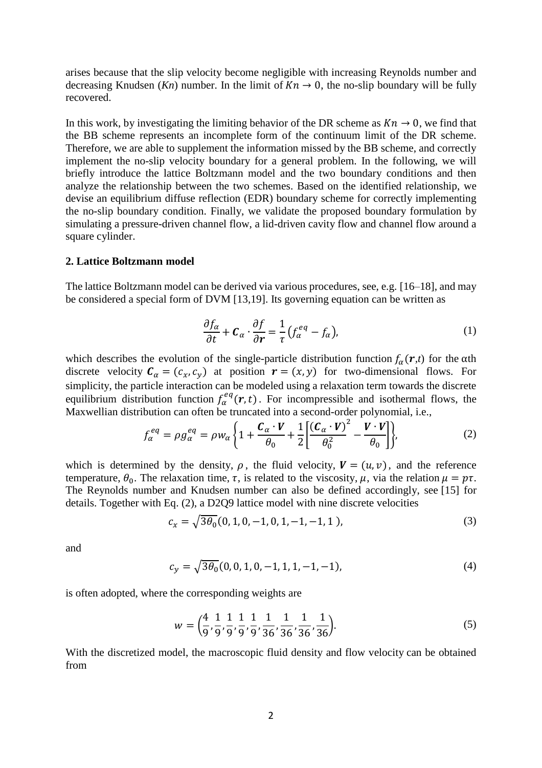arises because that the slip velocity become negligible with increasing Reynolds number and decreasing Knudsen (*Kn*) number. In the limit of  $Kn \to 0$ , the no-slip boundary will be fully recovered.

In this work, by investigating the limiting behavior of the DR scheme as  $Kn \to 0$ , we find that the BB scheme represents an incomplete form of the continuum limit of the DR scheme. Therefore, we are able to supplement the information missed by the BB scheme, and correctly implement the no-slip velocity boundary for a general problem. In the following, we will briefly introduce the lattice Boltzmann model and the two boundary conditions and then analyze the relationship between the two schemes. Based on the identified relationship, we devise an equilibrium diffuse reflection (EDR) boundary scheme for correctly implementing the no-slip boundary condition. Finally, we validate the proposed boundary formulation by simulating a pressure-driven channel flow, a lid-driven cavity flow and channel flow around a square cylinder.

#### **2. Lattice Boltzmann model**

The lattice Boltzmann model can be derived via various procedures, see, e.g. [16–18], and may be considered a special form of DVM [13,19]. Its governing equation can be written as

<span id="page-1-0"></span>
$$
\frac{\partial f_{\alpha}}{\partial t} + \mathcal{C}_{\alpha} \cdot \frac{\partial f}{\partial r} = \frac{1}{\tau} \left( f_{\alpha}^{eq} - f_{\alpha} \right),\tag{1}
$$

which describes the evolution of the single-particle distribution function  $f_{\alpha}(r,t)$  for the  $\alpha$ th discrete velocity  $C_{\alpha} = (c_x, c_y)$  at position  $r = (x, y)$  for two-dimensional flows. For simplicity, the particle interaction can be modeled using a relaxation term towards the discrete equilibrium distribution function  $f_{\alpha}^{eq}(r,t)$ . For incompressible and isothermal flows, the Maxwellian distribution can often be truncated into a second-order polynomial, i.e.,

$$
f_{\alpha}^{eq} = \rho g_{\alpha}^{eq} = \rho w_{\alpha} \left\{ 1 + \frac{\mathcal{C}_{\alpha} \cdot V}{\theta_{0}} + \frac{1}{2} \left[ \frac{(\mathcal{C}_{\alpha} \cdot V)^{2}}{\theta_{0}^{2}} - \frac{V \cdot V}{\theta_{0}} \right] \right\},
$$
 (2)

which is determined by the density,  $\rho$ , the fluid velocity,  $V = (u, v)$ , and the reference temperature,  $\theta_0$ . The relaxation time,  $\tau$ , is related to the viscosity,  $\mu$ , via the relation  $\mu = p\tau$ . The Reynolds number and Knudsen number can also be defined accordingly, see [15] for details. Together with Eq. [\(2\),](#page-1-0) a D2Q9 lattice model with nine discrete velocities

$$
c_x = \sqrt{3\theta_0}(0, 1, 0, -1, 0, 1, -1, -1, 1),
$$
\n(3)

and

$$
c_y = \sqrt{3\theta_0}(0, 0, 1, 0, -1, 1, 1, -1, -1),\tag{4}
$$

is often adopted, where the corresponding weights are

$$
w = \left(\frac{4}{9}, \frac{1}{9}, \frac{1}{9}, \frac{1}{9}, \frac{1}{9}, \frac{1}{36}, \frac{1}{36}, \frac{1}{36}, \frac{1}{36}\right).
$$
(5)

With the discretized model, the macroscopic fluid density and flow velocity can be obtained from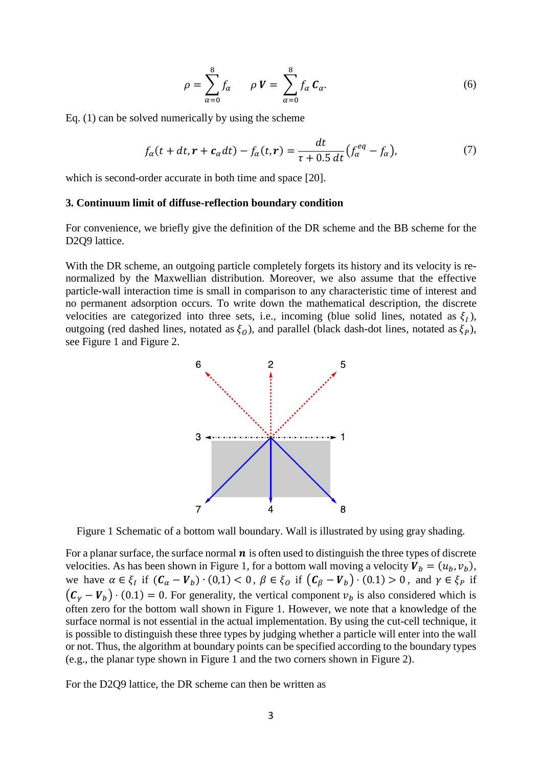<span id="page-2-1"></span>
$$
\rho = \sum_{\alpha=0}^{8} f_{\alpha} \qquad \rho V = \sum_{\alpha=0}^{8} f_{\alpha} C_{\alpha}.
$$
\n(6)

Eq. (1) can be solved numerically by using the scheme

$$
f_{\alpha}(t+dt, r+c_{\alpha}dt) - f_{\alpha}(t, r) = \frac{dt}{\tau + 0.5 \ dt} (f_{\alpha}^{eq} - f_{\alpha}), \tag{7}
$$

which is second-order accurate in both time and space [20].

#### **3. Continuum limit of diffuse-reflection boundary condition**

For convenience, we briefly give the definition of the DR scheme and the BB scheme for the D<sub>2</sub>Q9 lattice.

With the DR scheme, an outgoing particle completely forgets its history and its velocity is renormalized by the Maxwellian distribution. Moreover, we also assume that the effective particle-wall interaction time is small in comparison to any characteristic time of interest and no permanent adsorption occurs. To write down the mathematical description, the discrete velocities are categorized into three sets, i.e., incoming (blue solid lines, notated as  $\xi_l$ ), outgoing (red dashed lines, notated as  $\xi_0$ ), and parallel (black dash-dot lines, notated as  $\xi_p$ ), see [Figure 1](#page-2-0) and [Figure 2.](#page-3-0)



<span id="page-2-0"></span>Figure 1 Schematic of a bottom wall boundary. Wall is illustrated by using gray shading.

For a planar surface, the surface normal  $\boldsymbol{n}$  is often used to distinguish the three types of discrete velocities. As has been shown in [Figure 1,](#page-2-0) for a bottom wall moving a velocity  $V_b = (u_b, v_b)$ , we have  $\alpha \in \xi_l$  if  $(C_{\alpha} - V_b) \cdot (0,1) < 0$ ,  $\beta \in \xi_0$  if  $(C_{\beta} - V_b) \cdot (0,1) > 0$ , and  $\gamma \in \xi_P$  if  $(C_V - V_b) \cdot (0.1) = 0$ . For generality, the vertical component  $v_b$  is also considered which is often zero for the bottom wall shown in Figure 1. However, we note that a knowledge of the surface normal is not essential in the actual implementation. By using the cut-cell technique, it is possible to distinguish these three types by judging whether a particle will enter into the wall or not. Thus, the algorithm at boundary points can be specified according to the boundary types (e.g., the planar type shown in [Figure 1](#page-2-0) and the two corners shown in [Figure 2\)](#page-3-0).

For the D2Q9 lattice, the DR scheme can then be written as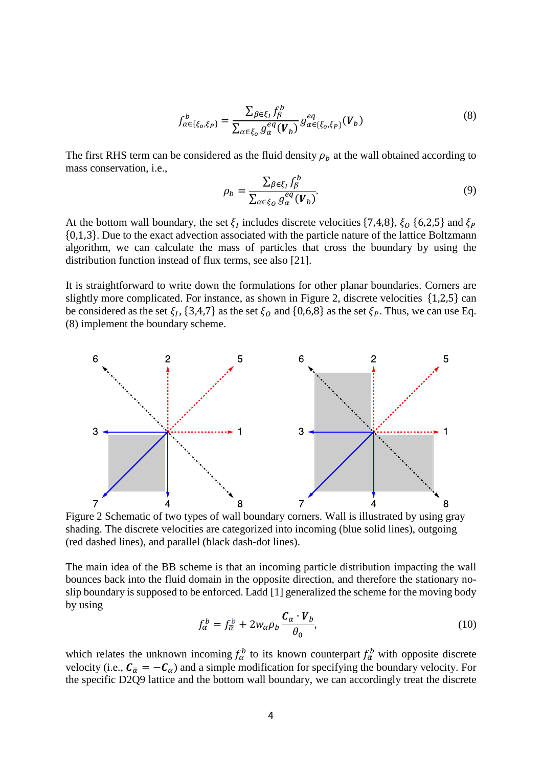$$
f_{\alpha\in\{\xi_o,\xi_P\}}^b = \frac{\sum_{\beta\in\xi_I} f_\beta^b}{\sum_{\alpha\in\xi_o} g_\alpha^{eq}(V_b)} g_{\alpha\in\{\xi_o,\xi_P\}}^{eq}(V_b)
$$
(8)

The first RHS term can be considered as the fluid density  $\rho_b$  at the wall obtained according to mass conservation, i.e.,

<span id="page-3-3"></span><span id="page-3-1"></span>
$$
\rho_b = \frac{\sum_{\beta \in \xi_I} f_{\beta}^b}{\sum_{\alpha \in \xi_O} g_{\alpha}^{eq}(V_b)}.
$$
\n(9)

At the bottom wall boundary, the set  $\xi_l$  includes discrete velocities  $\{7,4,8\}$ ,  $\xi_0$   $\{6,2,5\}$  and  $\xi_p$ {0,1,3}. Due to the exact advection associated with the particle nature of the lattice Boltzmann algorithm, we can calculate the mass of particles that cross the boundary by using the distribution function instead of flux terms, see also [21].

It is straightforward to write down the formulations for other planar boundaries. Corners are slightly more complicated. For instance, as shown in [Figure 2,](#page-3-0) discrete velocities {1,2,5} can be considered as the set  $\xi_l$ ,  $\{3,4,7\}$  as the set  $\xi_o$  and  $\{0,6,8\}$  as the set  $\xi_p$ . Thus, we can use Eq. [\(8\)](#page-3-1) implement the boundary scheme.



<span id="page-3-0"></span>Figure 2 Schematic of two types of wall boundary corners. Wall is illustrated by using gray shading. The discrete velocities are categorized into incoming (blue solid lines), outgoing (red dashed lines), and parallel (black dash-dot lines).

The main idea of the BB scheme is that an incoming particle distribution impacting the wall bounces back into the fluid domain in the opposite direction, and therefore the stationary noslip boundary is supposed to be enforced. Ladd [1] generalized the scheme for the moving body by using

<span id="page-3-2"></span>
$$
f_{\alpha}^{b} = f_{\overline{\alpha}}^{b} + 2w_{\alpha}\rho_{b}\frac{\mathcal{C}_{\alpha} \cdot \mathcal{V}_{b}}{\theta_{0}},
$$
\n(10)

which relates the unknown incoming  $f_\alpha^b$  to its known counterpart  $f_{\overline{\alpha}}^b$  with opposite discrete velocity (i.e.,  $C_{\overline{\alpha}} = -C_{\alpha}$ ) and a simple modification for specifying the boundary velocity. For the specific D2Q9 lattice and the bottom wall boundary, we can accordingly treat the discrete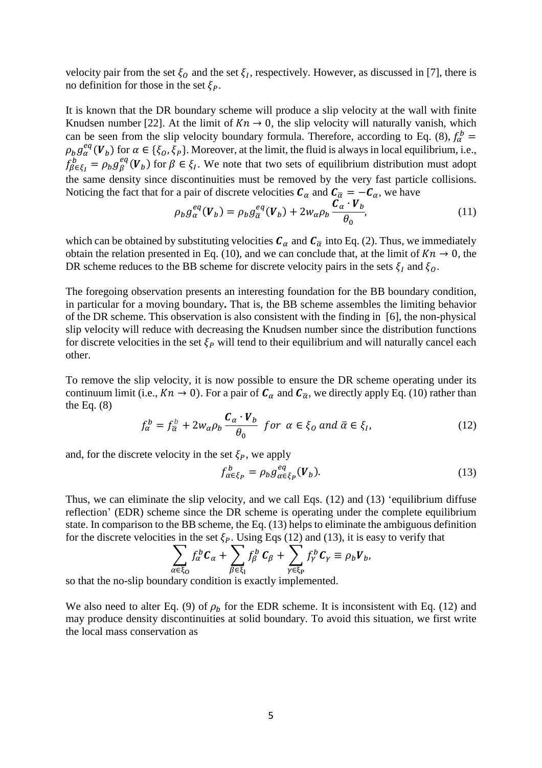velocity pair from the set  $\xi_0$  and the set  $\xi_l$ , respectively. However, as discussed in [7], there is no definition for those in the set  $\xi_P$ .

It is known that the DR boundary scheme will produce a slip velocity at the wall with finite Knudsen number [22]. At the limit of  $Kn \to 0$ , the slip velocity will naturally vanish, which can be seen from the slip velocity boundary formula. Therefore, according to Eq. [\(8\),](#page-3-1)  $f_{\alpha}^{b}$  =  $\rho_b g_\alpha^{eq}(V_b)$  for  $\alpha \in {\{\zeta_0,\zeta_P\}}$ . Moreover, at the limit, the fluid is always in local equilibrium, i.e.,  $f_{\beta \in \xi_I}^b = \rho_b g_{\beta}^{eq}(V_b)$  for  $\beta \in \xi_I$ . We note that two sets of equilibrium distribution must adopt the same density since discontinuities must be removed by the very fast particle collisions. Noticing the fact that for a pair of discrete velocities  $C_{\alpha}$  and  $C_{\overline{\alpha}} = -C_{\alpha}$ , we have

$$
\rho_b g_{\alpha}^{eq}(V_b) = \rho_b g_{\overline{\alpha}}^{eq}(V_b) + 2w_{\alpha}\rho_b \frac{\mathcal{C}_{\alpha} \cdot V_b}{\theta_0},\tag{11}
$$

which can be obtained by substituting velocities  $C_{\alpha}$  and  $C_{\overline{\alpha}}$  into Eq. [\(2\).](#page-1-0) Thus, we immediately obtain the relation presented in Eq. [\(10\),](#page-3-2) and we can conclude that, at the limit of  $Kn \to 0$ , the DR scheme reduces to the BB scheme for discrete velocity pairs in the sets  $\xi_l$  and  $\xi_0$ .

The foregoing observation presents an interesting foundation for the BB boundary condition, in particular for a moving boundary**.** That is, the BB scheme assembles the limiting behavior of the DR scheme. This observation is also consistent with the finding in [6], the non-physical slip velocity will reduce with decreasing the Knudsen number since the distribution functions for discrete velocities in the set  $\xi_P$  will tend to their equilibrium and will naturally cancel each other.

To remove the slip velocity, it is now possible to ensure the DR scheme operating under its continuum limit (i.e.,  $Kn \to 0$ ). For a pair of  $C_\alpha$  and  $C_{\overline{\alpha}}$ , we directly apply Eq. [\(10\)](#page-3-2) rather than the Eq.  $(8)$ 

$$
f_{\alpha}^{b} = f_{\overline{\alpha}}^{b} + 2w_{\alpha}\rho_{b}\frac{\mathcal{C}_{\alpha} \cdot V_{b}}{\theta_{0}} \quad \text{for} \ \alpha \in \xi_{0} \text{ and } \overline{\alpha} \in \xi_{I}, \tag{12}
$$

and, for the discrete velocity in the set  $\xi_P$ , we apply

<span id="page-4-1"></span><span id="page-4-0"></span>
$$
f_{\alpha \in \xi_P}^b = \rho_b g_{\alpha \in \xi_P}^{eq}(\boldsymbol{V}_b). \tag{13}
$$

Thus, we can eliminate the slip velocity, and we call Eqs. [\(12\)](#page-4-0) and [\(13\)](#page-4-1) 'equilibrium diffuse reflection' (EDR) scheme since the DR scheme is operating under the complete equilibrium state. In comparison to the BB scheme, the Eq. [\(13\)](#page-4-1) helps to eliminate the ambiguous definition for the discrete velocities in the set  $\xi_P$ . Using Eqs [\(12\)](#page-4-0) and [\(13\),](#page-4-1) it is easy to verify that

$$
\sum_{\alpha \in \xi_0} f_{\alpha}^{b} C_{\alpha} + \sum_{\beta \in \xi_1} f_{\beta}^{b} C_{\beta} + \sum_{\gamma \in \xi_1} f_{\gamma}^{b} C_{\gamma} \equiv \rho_b V_b,
$$

so that the no-slip boundary condition is exactly implemented.

We also need to alter Eq. [\(9\)](#page-3-3) of  $\rho_b$  for the EDR scheme. It is inconsistent with Eq. [\(12\)](#page-4-0) and may produce density discontinuities at solid boundary. To avoid this situation, we first write the local mass conservation as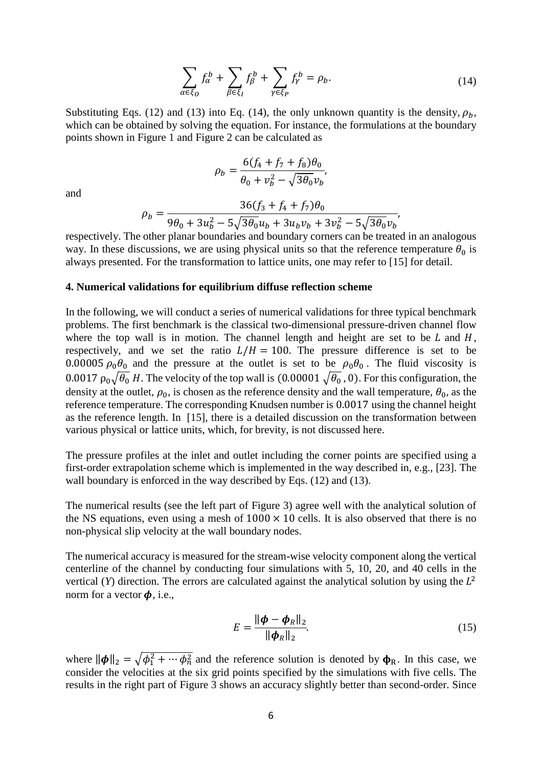$$
\sum_{\alpha \in \xi_0} f_\alpha^b + \sum_{\beta \in \xi_I} f_\beta^b + \sum_{\gamma \in \xi_P} f_\gamma^b = \rho_b. \tag{14}
$$

Substituting Eqs. [\(12\)](#page-4-0) and [\(13\)](#page-4-1) into Eq. [\(14\),](#page-5-0) the only unknown quantity is the density,  $\rho_b$ , which can be obtained by solving the equation. For instance, the formulations at the boundary points shown in [Figure](#page-2-0) 1 and [Figure 2](#page-3-0) can be calculated as

<span id="page-5-0"></span>
$$
\rho_b = \frac{6(f_4 + f_7 + f_8)\theta_0}{\theta_0 + v_b^2 - \sqrt{3\theta_0}v_b},
$$

and

$$
\rho_b = \frac{36(f_3 + f_4 + f_7)\theta_0}{9\theta_0 + 3u_b^2 - 5\sqrt{3\theta_0}u_b + 3u_bv_b + 3v_b^2 - 5\sqrt{3\theta_0}v_b},
$$

respectively. The other planar boundaries and boundary corners can be treated in an analogous way. In these discussions, we are using physical units so that the reference temperature  $\theta_0$  is always presented. For the transformation to lattice units, one may refer to [15] for detail.

## **4. Numerical validations for equilibrium diffuse reflection scheme**

In the following, we will conduct a series of numerical validations for three typical benchmark problems. The first benchmark is the classical two-dimensional pressure-driven channel flow where the top wall is in motion. The channel length and height are set to be  $L$  and  $H$ , respectively, and we set the ratio  $L/H = 100$ . The pressure difference is set to be 0.00005  $\rho_0$  and the pressure at the outlet is set to be  $\rho_0$   $\theta_0$ . The fluid viscosity is 0.0017  $\rho_0\sqrt{\theta_0}$  H. The velocity of the top wall is (0.00001  $\sqrt{\theta_0}$ , 0). For this configuration, the density at the outlet,  $\rho_0$ , is chosen as the reference density and the wall temperature,  $\theta_0$ , as the reference temperature. The corresponding Knudsen number is 0.0017 using the channel height as the reference length. In [15], there is a detailed discussion on the transformation between various physical or lattice units, which, for brevity, is not discussed here.

The pressure profiles at the inlet and outlet including the corner points are specified using a first-order extrapolation scheme which is implemented in the way described in, e.g., [23]. The wall boundary is enforced in the way described by Eqs. [\(12\)](#page-4-0) and [\(13\).](#page-4-1)

The numerical results (see the left part of [Figure 3\)](#page-6-0) agree well with the analytical solution of the NS equations, even using a mesh of  $1000 \times 10$  cells. It is also observed that there is no non-physical slip velocity at the wall boundary nodes.

The numerical accuracy is measured for the stream-wise velocity component along the vertical centerline of the channel by conducting four simulations with 5, 10, 20, and 40 cells in the vertical (*Y*) direction. The errors are calculated against the analytical solution by using the  $L^2$ norm for a vector  $\phi$ , i.e.,

$$
E = \frac{\|\boldsymbol{\phi} - \boldsymbol{\phi}_R\|_2}{\|\boldsymbol{\phi}_R\|_2}.
$$
 (15)

where  $\|\phi\|_2 = \sqrt{\phi_1^2 + \cdots + \phi_n^2}$  and the reference solution is denoted by  $\phi_R$ . In this case, we consider the velocities at the six grid points specified by the simulations with five cells. The results in the right part of [Figure 3](#page-6-0) shows an accuracy slightly better than second-order. Since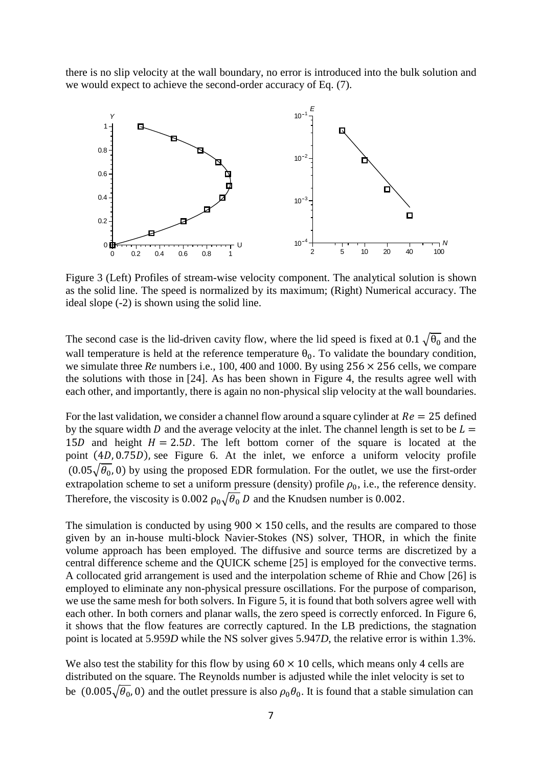there is no slip velocity at the wall boundary, no error is introduced into the bulk solution and we would expect to achieve the second-order accuracy of Eq. [\(7\).](#page-2-1)



<span id="page-6-0"></span>Figure 3 (Left) Profiles of stream-wise velocity component. The analytical solution is shown as the solid line. The speed is normalized by its maximum; (Right) Numerical accuracy. The ideal slope (-2) is shown using the solid line.

The second case is the lid-driven cavity flow, where the lid speed is fixed at 0.1  $\sqrt{\theta_0}$  and the wall temperature is held at the reference temperature  $\theta_0$ . To validate the boundary condition, we simulate three *Re* numbers i.e., 100, 400 and 1000. By using 256 × 256 cells, we compare the solutions with those in [24]. As has been shown in [Figure](#page-7-0) 4, the results agree well with each other, and importantly, there is again no non-physical slip velocity at the wall boundaries.

For the last validation, we consider a channel flow around a square cylinder at  $Re = 25$  defined by the square width  $D$  and the average velocity at the inlet. The channel length is set to be  $L =$ 15D and height  $H = 2.5D$ . The left bottom corner of the square is located at the point  $(4D, 0.75D)$ , see [Figure](#page-9-0) 6. At the inlet, we enforce a uniform velocity profile  $(0.05\sqrt{\theta_0}, 0)$  by using the proposed EDR formulation. For the outlet, we use the first-order extrapolation scheme to set a uniform pressure (density) profile  $\rho_0$ , i.e., the reference density. Therefore, the viscosity is 0.002  $\rho_0\sqrt{\theta_0} D$  and the Knudsen number is 0.002.

The simulation is conducted by using  $900 \times 150$  cells, and the results are compared to those given by an in-house multi-block Navier-Stokes (NS) solver, THOR, in which the finite volume approach has been employed. The diffusive and source terms are discretized by a central difference scheme and the QUICK scheme [25] is employed for the convective terms. A collocated grid arrangement is used and the interpolation scheme of Rhie and Chow [26] is employed to eliminate any non-physical pressure oscillations. For the purpose of comparison, we use the same mesh for both solvers. In [Figure 5,](#page-8-0) it is found that both solvers agree well with each other. In both corners and planar walls, the zero speed is correctly enforced. In [Figure](#page-9-0) 6, it shows that the flow features are correctly captured. In the LB predictions, the stagnation point is located at 5.959*D* while the NS solver gives 5.947*D*, the relative error is within 1.3%.

We also test the stability for this flow by using  $60 \times 10$  cells, which means only 4 cells are distributed on the square. The Reynolds number is adjusted while the inlet velocity is set to be  $(0.005\sqrt{\theta_0}, 0)$  and the outlet pressure is also  $\rho_0\theta_0$ . It is found that a stable simulation can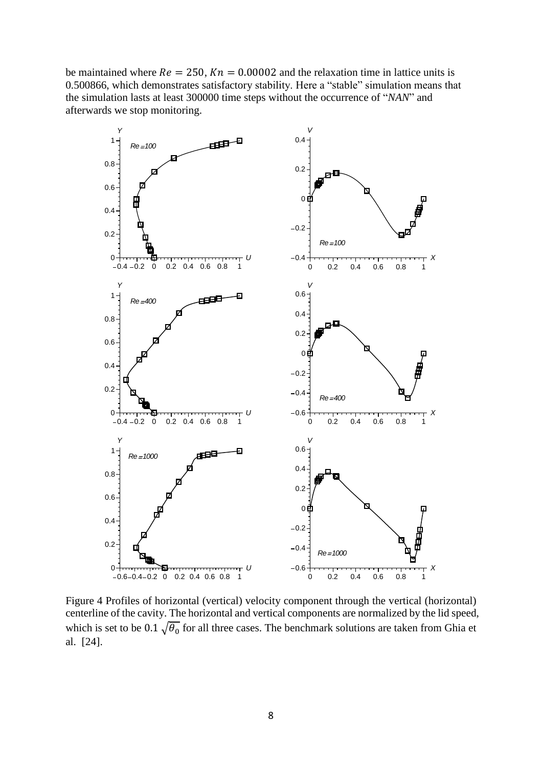be maintained where  $Re = 250$ ,  $Kn = 0.00002$  and the relaxation time in lattice units is 0.500866, which demonstrates satisfactory stability. Here a "stable" simulation means that the simulation lasts at least 300000 time steps without the occurrence of "*NAN*" and afterwards we stop monitoring.



<span id="page-7-0"></span>Figure 4 Profiles of horizontal (vertical) velocity component through the vertical (horizontal) centerline of the cavity. The horizontal and vertical components are normalized by the lid speed, which is set to be 0.1  $\sqrt{\theta_0}$  for all three cases. The benchmark solutions are taken from Ghia et al. [24].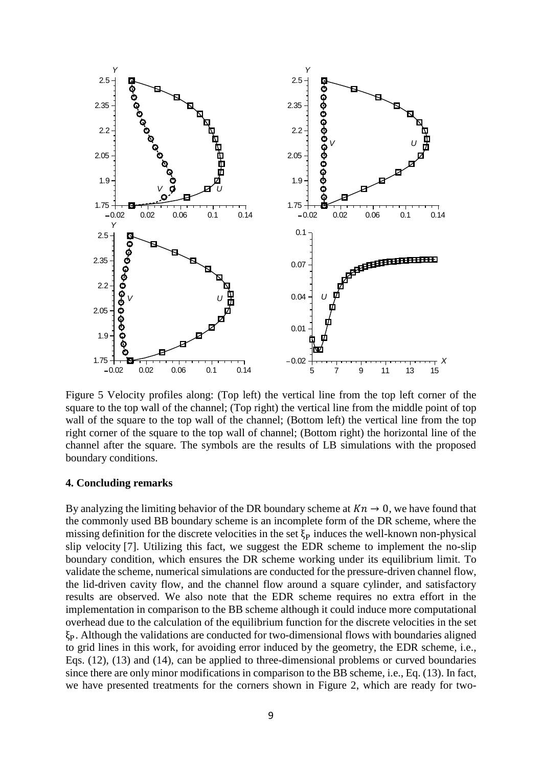

<span id="page-8-0"></span>Figure 5 Velocity profiles along: (Top left) the vertical line from the top left corner of the square to the top wall of the channel; (Top right) the vertical line from the middle point of top wall of the square to the top wall of the channel; (Bottom left) the vertical line from the top right corner of the square to the top wall of channel; (Bottom right) the horizontal line of the channel after the square. The symbols are the results of LB simulations with the proposed boundary conditions.

### **4. Concluding remarks**

By analyzing the limiting behavior of the DR boundary scheme at  $Kn \to 0$ , we have found that the commonly used BB boundary scheme is an incomplete form of the DR scheme, where the missing definition for the discrete velocities in the set  $\xi_{\rm P}$  induces the well-known non-physical slip velocity [7]. Utilizing this fact, we suggest the EDR scheme to implement the no-slip boundary condition, which ensures the DR scheme working under its equilibrium limit. To validate the scheme, numerical simulations are conducted for the pressure-driven channel flow, the lid-driven cavity flow, and the channel flow around a square cylinder, and satisfactory results are observed. We also note that the EDR scheme requires no extra effort in the implementation in comparison to the BB scheme although it could induce more computational overhead due to the calculation of the equilibrium function for the discrete velocities in the set  $\xi_{\rm P}$ . Although the validations are conducted for two-dimensional flows with boundaries aligned to grid lines in this work, for avoiding error induced by the geometry, the EDR scheme, i.e., Eqs. [\(12\),](#page-4-0) [\(13\)](#page-4-1) and [\(14\),](#page-5-0) can be applied to three-dimensional problems or curved boundaries since there are only minor modifications in comparison to the BB scheme, i.e., Eq. [\(13\).](#page-4-1) In fact, we have presented treatments for the corners shown in [Figure 2,](#page-3-0) which are ready for two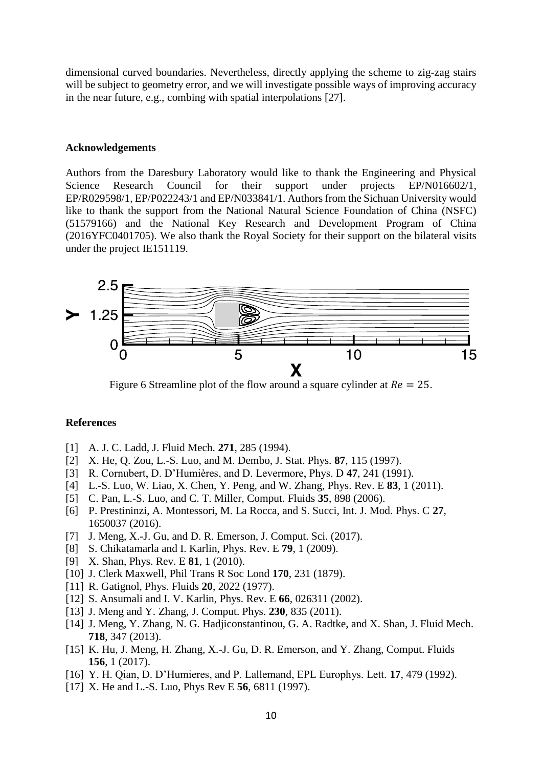dimensional curved boundaries. Nevertheless, directly applying the scheme to zig-zag stairs will be subject to geometry error, and we will investigate possible ways of improving accuracy in the near future, e.g., combing with spatial interpolations [27].

## **Acknowledgements**

Authors from the Daresbury Laboratory would like to thank the Engineering and Physical Science Research Council for their support under projects EP/N016602/1, EP/R029598/1, EP/P022243/1 and EP/N033841/1. Authors from the Sichuan University would like to thank the support from the National Natural Science Foundation of China (NSFC) (51579166) and the National Key Research and Development Program of China (2016YFC0401705). We also thank the Royal Society for their support on the bilateral visits under the project IE151119.



<span id="page-9-0"></span>Figure 6 Streamline plot of the flow around a square cylinder at  $Re = 25$ .

#### **References**

- [1] A. J. C. Ladd, J. Fluid Mech. **271**, 285 (1994).
- [2] X. He, Q. Zou, L.-S. Luo, and M. Dembo, J. Stat. Phys. **87**, 115 (1997).
- [3] R. Cornubert, D. D'Humières, and D. Levermore, Phys. D **47**, 241 (1991).
- [4] L.-S. Luo, W. Liao, X. Chen, Y. Peng, and W. Zhang, Phys. Rev. E **83**, 1 (2011).
- [5] C. Pan, L.-S. Luo, and C. T. Miller, Comput. Fluids **35**, 898 (2006).
- [6] P. Prestininzi, A. Montessori, M. La Rocca, and S. Succi, Int. J. Mod. Phys. C **27**, 1650037 (2016).
- [7] J. Meng, X.-J. Gu, and D. R. Emerson, J. Comput. Sci. (2017).
- [8] S. Chikatamarla and I. Karlin, Phys. Rev. E **79**, 1 (2009).
- [9] X. Shan, Phys. Rev. E **81**, 1 (2010).
- [10] J. Clerk Maxwell, Phil Trans R Soc Lond **170**, 231 (1879).
- [11] R. Gatignol, Phys. Fluids **20**, 2022 (1977).
- [12] S. Ansumali and I. V. Karlin, Phys. Rev. E **66**, 026311 (2002).
- [13] J. Meng and Y. Zhang, J. Comput. Phys. **230**, 835 (2011).
- [14] J. Meng, Y. Zhang, N. G. Hadjiconstantinou, G. A. Radtke, and X. Shan, J. Fluid Mech. **718**, 347 (2013).
- [15] K. Hu, J. Meng, H. Zhang, X.-J. Gu, D. R. Emerson, and Y. Zhang, Comput. Fluids **156**, 1 (2017).
- [16] Y. H. Qian, D. D'Humieres, and P. Lallemand, EPL Europhys. Lett. **17**, 479 (1992).
- [17] X. He and L.-S. Luo, Phys Rev E **56**, 6811 (1997).